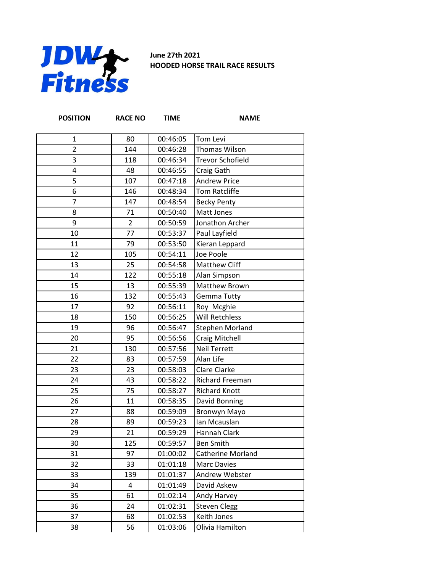

**June 27th 2021 HOODED HORSE TRAIL RACE RESULTS**

| <b>POSITION</b> | <b>RACE NO</b> | <b>TIME</b> | <b>NAME</b>             |
|-----------------|----------------|-------------|-------------------------|
| $\mathbf{1}$    | 80             | 00:46:05    | Tom Levi                |
| $\overline{2}$  | 144            | 00:46:28    | Thomas Wilson           |
| 3               | 118            | 00:46:34    | <b>Trevor Schofield</b> |
| 4               | 48             | 00:46:55    | Craig Gath              |
| 5               | 107            | 00:47:18    | <b>Andrew Price</b>     |
| 6               | 146            | 00:48:34    | <b>Tom Ratcliffe</b>    |
| $\overline{7}$  | 147            | 00:48:54    | <b>Becky Penty</b>      |
| 8               | 71             | 00:50:40    | Matt Jones              |
| 9               | $\overline{2}$ | 00:50:59    | Jonathon Archer         |
| 10              | 77             | 00:53:37    | Paul Layfield           |
| 11              | 79             | 00:53:50    | Kieran Leppard          |
| 12              | 105            | 00:54:11    | Joe Poole               |
| 13              | 25             | 00:54:58    | Matthew Cliff           |
| 14              | 122            | 00:55:18    | Alan Simpson            |
| 15              | 13             | 00:55:39    | Matthew Brown           |
| 16              | 132            | 00:55:43    | Gemma Tutty             |
| 17              | 92             | 00:56:11    | Roy Mcghie              |
| 18              | 150            | 00:56:25    | <b>Will Retchless</b>   |
| 19              | 96             | 00:56:47    | <b>Stephen Morland</b>  |
| 20              | 95             | 00:56:56    | Craig Mitchell          |
| 21              | 130            | 00:57:56    | <b>Neil Terrett</b>     |
| 22              | 83             | 00:57:59    | Alan Life               |
| 23              | 23             | 00:58:03    | <b>Clare Clarke</b>     |
| 24              | 43             | 00:58:22    | Richard Freeman         |
| 25              | 75             | 00:58:27    | <b>Richard Knott</b>    |
| 26              | 11             | 00:58:35    | David Bonning           |
| 27              | 88             | 00:59:09    | <b>Bronwyn Mayo</b>     |
| 28              | 89             | 00:59:23    | Ian Mcauslan            |
| 29              | 21             | 00:59:29    | Hannah Clark            |
| 30              | 125            | 00:59:57    | <b>Ben Smith</b>        |
| 31              | 97             | 01:00:02    | Catherine Morland       |
| 32              | 33             | 01:01:18    | <b>Marc Davies</b>      |
| 33              | 139            | 01:01:37    | <b>Andrew Webster</b>   |
| 34              | 4              | 01:01:49    | David Askew             |
| 35              | 61             | 01:02:14    | Andy Harvey             |
| 36              | 24             | 01:02:31    | <b>Steven Clegg</b>     |
| 37              | 68             | 01:02:53    | Keith Jones             |
| 38              | 56             | 01:03:06    | Olivia Hamilton         |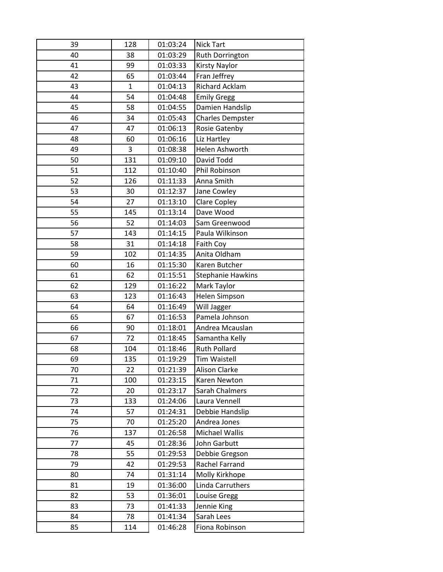| 39 | 128 | 01:03:24 | <b>Nick Tart</b>         |
|----|-----|----------|--------------------------|
| 40 | 38  | 01:03:29 | Ruth Dorrington          |
| 41 | 99  | 01:03:33 | Kirsty Naylor            |
| 42 | 65  | 01:03:44 | Fran Jeffrey             |
| 43 | 1   | 01:04:13 | <b>Richard Acklam</b>    |
| 44 | 54  | 01:04:48 | <b>Emily Gregg</b>       |
| 45 | 58  | 01:04:55 | Damien Handslip          |
| 46 | 34  | 01:05:43 | <b>Charles Dempster</b>  |
| 47 | 47  | 01:06:13 | Rosie Gatenby            |
| 48 | 60  | 01:06:16 | Liz Hartley              |
| 49 | 3   | 01:08:38 | Helen Ashworth           |
| 50 | 131 | 01:09:10 | David Todd               |
| 51 | 112 | 01:10:40 | Phil Robinson            |
| 52 | 126 | 01:11:33 | Anna Smith               |
| 53 | 30  | 01:12:37 | Jane Cowley              |
| 54 | 27  | 01:13:10 | <b>Clare Copley</b>      |
| 55 | 145 | 01:13:14 | Dave Wood                |
| 56 | 52  | 01:14:03 | Sam Greenwood            |
| 57 | 143 | 01:14:15 | Paula Wilkinson          |
| 58 | 31  | 01:14:18 | Faith Coy                |
| 59 | 102 | 01:14:35 | Anita Oldham             |
| 60 | 16  | 01:15:30 | Karen Butcher            |
| 61 | 62  | 01:15:51 | <b>Stephanie Hawkins</b> |
| 62 | 129 | 01:16:22 | Mark Taylor              |
| 63 | 123 | 01:16:43 | <b>Helen Simpson</b>     |
| 64 | 64  | 01:16:49 | Will Jagger              |
| 65 | 67  | 01:16:53 | Pamela Johnson           |
| 66 | 90  | 01:18:01 | Andrea Mcauslan          |
| 67 | 72  | 01:18:45 | Samantha Kelly           |
| 68 | 104 | 01:18:46 | <b>Ruth Pollard</b>      |
| 69 | 135 | 01:19:29 | <b>Tim Waistell</b>      |
| 70 | 22  | 01:21:39 | <b>Alison Clarke</b>     |
| 71 | 100 | 01:23:15 | Karen Newton             |
| 72 | 20  | 01:23:17 | Sarah Chalmers           |
| 73 | 133 | 01:24:06 | Laura Vennell            |
| 74 | 57  | 01:24:31 | Debbie Handslip          |
| 75 | 70  | 01:25:20 | Andrea Jones             |
| 76 | 137 | 01:26:58 | Michael Wallis           |
| 77 | 45  | 01:28:36 | John Garbutt             |
| 78 | 55  | 01:29:53 | Debbie Gregson           |
| 79 | 42  | 01:29:53 | Rachel Farrand           |
| 80 | 74  | 01:31:14 | Molly Kirkhope           |
| 81 | 19  | 01:36:00 | Linda Carruthers         |
| 82 | 53  | 01:36:01 | Louise Gregg             |
| 83 | 73  | 01:41:33 | Jennie King              |
| 84 | 78  | 01:41:34 | Sarah Lees               |
| 85 | 114 | 01:46:28 | Fiona Robinson           |